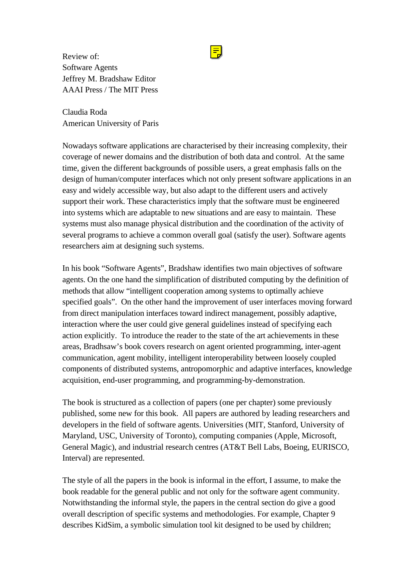Review of: Software Agents Jeffrey M. Bradshaw Editor AAAI Press / The MIT Press

Claudia Roda American University of Paris

Nowadays software applications are characterised by their increasing complexity, their coverage of newer domains and the distribution of both data and control. At the same time, given the different backgrounds of possible users, a great emphasis falls on the design of human/computer interfaces which not only present software applications in an easy and widely accessible way, but also adapt to the different users and actively support their work. These characteristics imply that the software must be engineered into systems which are adaptable to new situations and are easy to maintain. These systems must also manage physical distribution and the coordination of the activity of several programs to achieve a common overall goal (satisfy the user). Software agents researchers aim at designing such systems.

In his book "Software Agents", Bradshaw identifies two main objectives of software agents. On the one hand the simplification of distributed computing by the definition of methods that allow "intelligent cooperation among systems to optimally achieve specified goals". On the other hand the improvement of user interfaces moving forward from direct manipulation interfaces toward indirect management, possibly adaptive, interaction where the user could give general guidelines instead of specifying each action explicitly. To introduce the reader to the state of the art achievements in these areas, Bradhsaw's book covers research on agent oriented programming, inter-agent communication, agent mobility, intelligent interoperability between loosely coupled components of distributed systems, antropomorphic and adaptive interfaces, knowledge acquisition, end-user programming, and programming-by-demonstration.

The book is structured as a collection of papers (one per chapter) some previously published, some new for this book. All papers are authored by leading researchers and developers in the field of software agents. Universities (MIT, Stanford, University of Maryland, USC, University of Toronto), computing companies (Apple, Microsoft, General Magic), and industrial research centres (AT&T Bell Labs, Boeing, EURISCO, Interval) are represented.

The style of all the papers in the book is informal in the effort, I assume, to make the book readable for the general public and not only for the software agent community. Notwithstanding the informal style, the papers in the central section do give a good overall description of specific systems and methodologies. For example, Chapter 9 describes KidSim, a symbolic simulation tool kit designed to be used by children;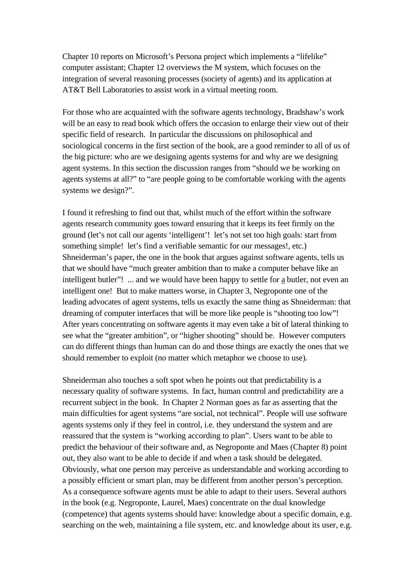Chapter 10 reports on Microsoft's Persona project which implements a "lifelike" computer assistant; Chapter 12 overviews the M system, which focuses on the integration of several reasoning processes (society of agents) and its application at AT&T Bell Laboratories to assist work in a virtual meeting room.

For those who are acquainted with the software agents technology, Bradshaw's work will be an easy to read book which offers the occasion to enlarge their view out of their specific field of research. In particular the discussions on philosophical and sociological concerns in the first section of the book, are a good reminder to all of us of the big picture: who are we designing agents systems for and why are we designing agent systems. In this section the discussion ranges from "should we be working on agents systems at all?" to "are people going to be comfortable working with the agents systems we design?".

I found it refreshing to find out that, whilst much of the effort within the software agents research community goes toward ensuring that it keeps its feet firmly on the ground (let's not call our agents 'intelligent'! let's not set too high goals: start from something simple! let's find a verifiable semantic for our messages!, etc.) Shneiderman's paper, the one in the book that argues against software agents, tells us that we should have "much greater ambition than to make a computer behave like an intelligent butler"! ... and we would have been happy to settle for a butler, not even an intelligent one! But to make matters worse, in Chapter 3, Negroponte one of the leading advocates of agent systems, tells us exactly the same thing as Shneiderman: that dreaming of computer interfaces that will be more like people is "shooting too low"! After years concentrating on software agents it may even take a bit of lateral thinking to see what the "greater ambition", or "higher shooting" should be. However computers can do different things than human can do and those things are exactly the ones that we should remember to exploit (no matter which metaphor we choose to use).

Shneiderman also touches a soft spot when he points out that predictability is a necessary quality of software systems. In fact, human control and predictability are a recurrent subject in the book. In Chapter 2 Norman goes as far as asserting that the main difficulties for agent systems "are social, not technical". People will use software agents systems only if they feel in control, i.e. they understand the system and are reassured that the system is "working according to plan". Users want to be able to predict the behaviour of their software and, as Negroponte and Maes (Chapter 8) point out, they also want to be able to decide if and when a task should be delegated. Obviously, what one person may perceive as understandable and working according to a possibly efficient or smart plan, may be different from another person's perception. As a consequence software agents must be able to adapt to their users. Several authors in the book (e.g. Negroponte, Laurel, Maes) concentrate on the dual knowledge (competence) that agents systems should have: knowledge about a specific domain, e.g. searching on the web, maintaining a file system, etc. and knowledge about its user, e.g.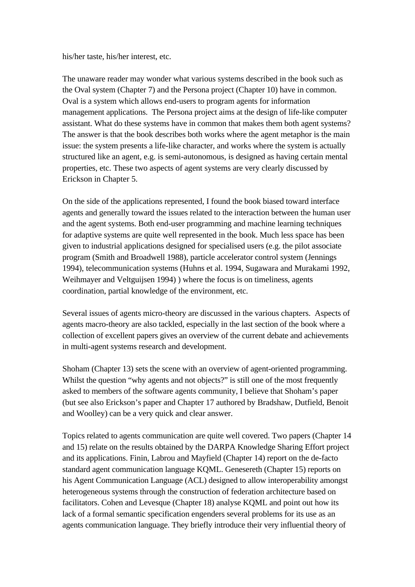his/her taste, his/her interest, etc.

The unaware reader may wonder what various systems described in the book such as the Oval system (Chapter 7) and the Persona project (Chapter 10) have in common. Oval is a system which allows end-users to program agents for information management applications. The Persona project aims at the design of life-like computer assistant. What do these systems have in common that makes them both agent systems? The answer is that the book describes both works where the agent metaphor is the main issue: the system presents a life-like character, and works where the system is actually structured like an agent, e.g. is semi-autonomous, is designed as having certain mental properties, etc. These two aspects of agent systems are very clearly discussed by Erickson in Chapter 5.

On the side of the applications represented, I found the book biased toward interface agents and generally toward the issues related to the interaction between the human user and the agent systems. Both end-user programming and machine learning techniques for adaptive systems are quite well represented in the book. Much less space has been given to industrial applications designed for specialised users (e.g. the pilot associate program (Smith and Broadwell 1988), particle accelerator control system (Jennings 1994), telecommunication systems (Huhns et al. 1994, Sugawara and Murakami 1992, Weihmayer and Veltguijsen 1994) ) where the focus is on timeliness, agents coordination, partial knowledge of the environment, etc.

Several issues of agents micro-theory are discussed in the various chapters. Aspects of agents macro-theory are also tackled, especially in the last section of the book where a collection of excellent papers gives an overview of the current debate and achievements in multi-agent systems research and development.

Shoham (Chapter 13) sets the scene with an overview of agent-oriented programming. Whilst the question "why agents and not objects?" is still one of the most frequently asked to members of the software agents community, I believe that Shoham's paper (but see also Erickson's paper and Chapter 17 authored by Bradshaw, Dutfield, Benoit and Woolley) can be a very quick and clear answer.

Topics related to agents communication are quite well covered. Two papers (Chapter 14 and 15) relate on the results obtained by the DARPA Knowledge Sharing Effort project and its applications. Finin, Labrou and Mayfield (Chapter 14) report on the de-facto standard agent communication language KQML. Genesereth (Chapter 15) reports on his Agent Communication Language (ACL) designed to allow interoperability amongst heterogeneous systems through the construction of federation architecture based on facilitators. Cohen and Levesque (Chapter 18) analyse KQML and point out how its lack of a formal semantic specification engenders several problems for its use as an agents communication language. They briefly introduce their very influential theory of